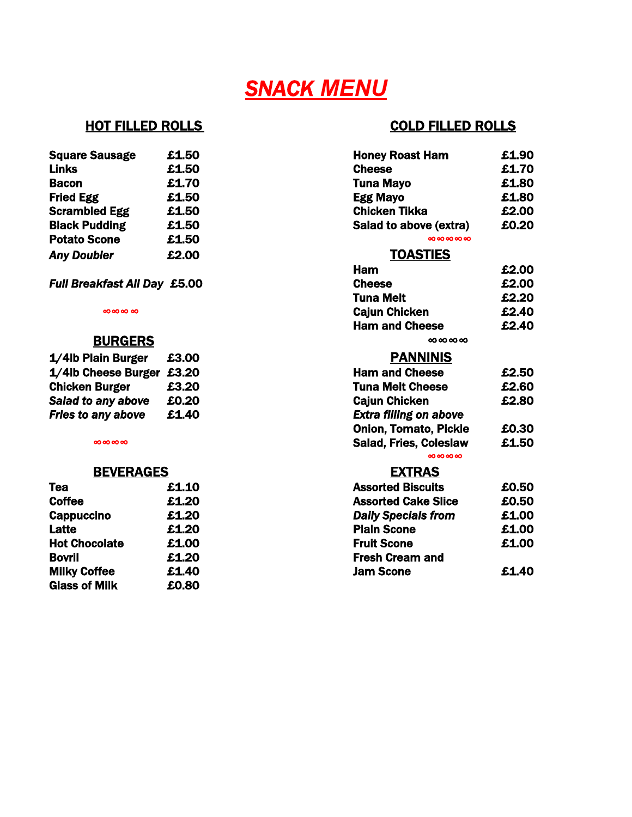## *SNACK MENU*

| <b>Square Sausage</b> | £1.50 | <b>Honey Roast Ham</b> |
|-----------------------|-------|------------------------|
| <b>Links</b>          | £1.50 | <b>Cheese</b>          |
| <b>Bacon</b>          | £1.70 | <b>Tuna Mayo</b>       |
| <b>Fried Egg</b>      | £1.50 | <b>Egg Mayo</b>        |
| <b>Scrambled Egg</b>  | £1.50 | <b>Chicken Tikka</b>   |
| <b>Black Pudding</b>  | £1.50 | Salad to above (extra) |
| <b>Potato Scone</b>   | £1.50 | 000000000              |
| <b>Any Doubler</b>    | £2.00 | <b>TOASTIES</b>        |

### **BURGERS**

| 1/4lb Plain Burger        | £3.00 | <b>PANNINIS</b>               |
|---------------------------|-------|-------------------------------|
| 1/4lb Cheese Burger £3.20 |       | <b>Ham and Cheese</b>         |
| <b>Chicken Burger</b>     | £3.20 | <b>Tuna Melt Cheese</b>       |
| Salad to any above        | £0.20 | <b>Cajun Chicken</b>          |
| <b>Fries to any above</b> | £1.40 | <b>Extra filling on above</b> |

#### **BEVERAGES**

| Tea                  | £1.10 | <b>Assorted Biscuits</b>   |
|----------------------|-------|----------------------------|
| <b>Coffee</b>        | £1.20 | <b>Assorted Cake Sli</b>   |
| <b>Cappuccino</b>    | £1.20 | <b>Daily Specials from</b> |
| Latte                | £1.20 | <b>Plain Scone</b>         |
| <b>Hot Chocolate</b> | £1.00 | <b>Fruit Scone</b>         |
| <b>Bovril</b>        | £1.20 | <b>Fresh Cream and</b>     |
| <b>Milky Coffee</b>  | £1.40 | <b>Jam Scone</b>           |
| <b>Glass of Milk</b> | £0.80 |                            |
|                      |       |                            |

### HOT FILLED ROLLS **COLD FILLED ROLLS**

| <b>Square Sausage</b>        | £1.50 | <b>Honey Roast Ham</b>        | £1.90 |
|------------------------------|-------|-------------------------------|-------|
| <b>Links</b>                 | £1.50 | <b>Cheese</b>                 | £1.70 |
| <b>Bacon</b>                 | £1.70 | <b>Tuna Mayo</b>              | £1.80 |
| <b>Fried Egg</b>             | £1.50 | <b>Egg Mayo</b>               | £1.80 |
| <b>Scrambled Egg</b>         | £1.50 | <b>Chicken Tikka</b>          | £2.00 |
| <b>Black Pudding</b>         | £1.50 | Salad to above (extra)        | £0.20 |
| <b>Potato Scone</b>          | £1.50 | 00000000                      |       |
| <b>Any Doubler</b>           | £2.00 | <b>TOASTIES</b>               |       |
|                              |       | Ham                           | £2.00 |
| Full Breakfast All Day £5.00 |       | <b>Cheese</b>                 | £2.00 |
|                              |       | <b>Tuna Melt</b>              | £2.20 |
| 00000000                     |       | <b>Cajun Chicken</b>          | £2.40 |
|                              |       | <b>Ham and Cheese</b>         | £2.40 |
| <b>BURGERS</b>               |       | 0000000                       |       |
| 1/4lb Plain Burger           | £3.00 | <b>PANNINIS</b>               |       |
| 1/4lb Cheese Burger £3.20    |       | <b>Ham and Cheese</b>         | £2.50 |
| <b>Chicken Burger</b>        | £3.20 | <b>Tuna Melt Cheese</b>       | £2.60 |
| Salad to any above           | £0.20 | <b>Cajun Chicken</b>          | £2.80 |
| <b>Fries to any above</b>    | £1.40 | <b>Extra filling on above</b> |       |
|                              |       | <b>Onion, Tomato, Pickle</b>  | £0.30 |
| 0000000                      |       | Salad, Fries, Coleslaw        | £1.50 |
|                              |       | 0000000                       |       |
| <b>BEVERAGES</b>             |       | <b>EXTRAS</b>                 |       |
| Tea                          | £1.10 | <b>Assorted Biscuits</b>      | £0.50 |
| <b>Coffee</b>                | £1.20 | <b>Assorted Cake Slice</b>    | £0.50 |
| <b>Cappuccino</b>            | £1.20 | <b>Daily Specials from</b>    | £1.00 |
| Latte                        | £1.20 | <b>Plain Scone</b>            | £1.00 |
| <b>Hot Chocolate</b>         | £1.00 | <b>Fruit Scone</b>            | £1.00 |
| <b>Bovril</b>                | £1.20 | <b>Fresh Cream and</b>        |       |
| <b>Milky Coffee</b>          | £1.40 | <b>Jam Scone</b>              | £1.40 |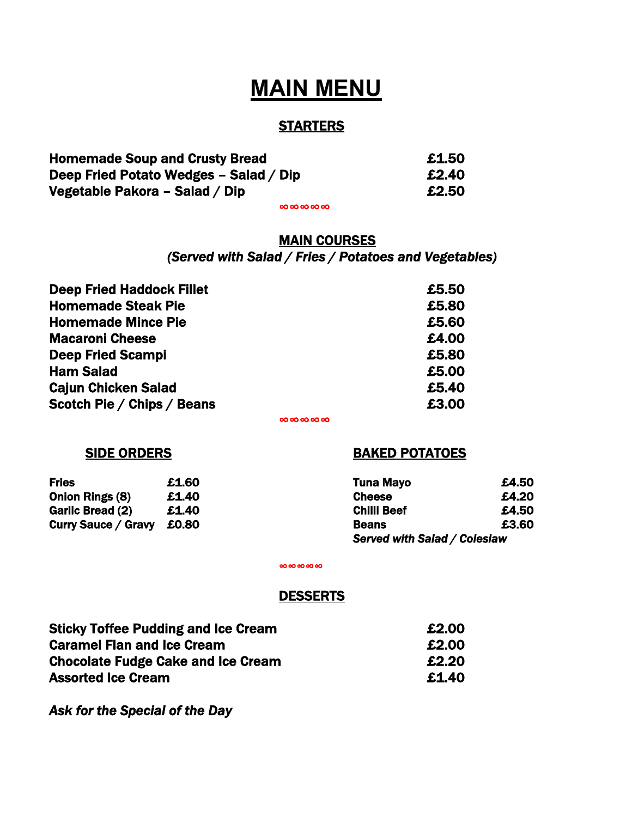## **MAIN MENU**

#### **STARTERS**

| <b>Homemade Soup and Crusty Bread</b>  | £1.50 |
|----------------------------------------|-------|
| Deep Fried Potato Wedges - Salad / Dip | £2.40 |
| Vegetable Pakora – Salad / Dip         | £2.50 |

∞∞∞∞∞

#### MAIN COURSES *(Served with Salad / Fries / Potatoes and Vegetables)*

| <b>Deep Fried Haddock Fillet</b> | £5.50 |
|----------------------------------|-------|
| <b>Homemade Steak Pie</b>        | £5.80 |
| <b>Homemade Mince Pie</b>        | £5.60 |
| <b>Macaroni Cheese</b>           | £4.00 |
| <b>Deep Fried Scampi</b>         | £5.80 |
| <b>Ham Salad</b>                 | £5.00 |
| <b>Cajun Chicken Salad</b>       | £5.40 |
| Scotch Pie / Chips / Beans       | £3.00 |

∞∞∞∞∞

#### SIDE ORDERS BAKED POTATOES

| <b>Fries</b>              | £1.60 | <b>Tuna Mayo</b>             | £4.50 |
|---------------------------|-------|------------------------------|-------|
| Onion Rings (8)           | £1.40 | <b>Cheese</b>                | £4.20 |
| Garlic Bread (2)          | £1.40 | <b>Chilli Beef</b>           | £4.50 |
| Curry Sauce / Gravy £0.80 |       | <b>Beans</b>                 | £3.60 |
|                           |       | Served with Salad / Coleslaw |       |

∞∞∞∞∞

#### DESSERTS

Sticky Toffee Pudding and Ice Cream  $£2.00$ Caramel Flan and Ice Cream **E2.00** Chocolate Fudge Cake and Ice Cream £2.20 Assorted Ice Cream **2008** 2008 2014 2022 2023

*Ask for the Special of the Day*